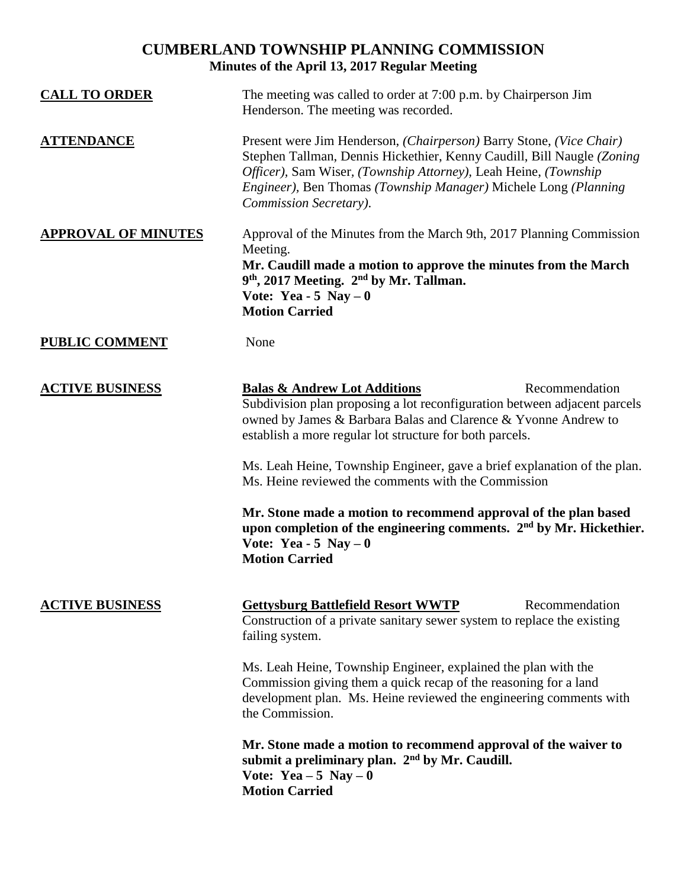# **CUMBERLAND TOWNSHIP PLANNING COMMISSION Minutes of the April 13, 2017 Regular Meeting**

| <b>CALL TO ORDER</b>       | The meeting was called to order at 7:00 p.m. by Chairperson Jim<br>Henderson. The meeting was recorded.                                                                                                                                                                                                                                                                                                                                                                                                                                                                                                          |
|----------------------------|------------------------------------------------------------------------------------------------------------------------------------------------------------------------------------------------------------------------------------------------------------------------------------------------------------------------------------------------------------------------------------------------------------------------------------------------------------------------------------------------------------------------------------------------------------------------------------------------------------------|
| <u>ATTENDANCE</u>          | Present were Jim Henderson, (Chairperson) Barry Stone, (Vice Chair)<br>Stephen Tallman, Dennis Hickethier, Kenny Caudill, Bill Naugle (Zoning<br>Officer), Sam Wiser, (Township Attorney), Leah Heine, (Township<br>Engineer), Ben Thomas (Township Manager) Michele Long (Planning<br>Commission Secretary).                                                                                                                                                                                                                                                                                                    |
| <b>APPROVAL OF MINUTES</b> | Approval of the Minutes from the March 9th, 2017 Planning Commission<br>Meeting.<br>Mr. Caudill made a motion to approve the minutes from the March<br>$9th$ , 2017 Meeting. $2nd$ by Mr. Tallman.<br>Vote: Yea - 5 Nay $-0$<br><b>Motion Carried</b>                                                                                                                                                                                                                                                                                                                                                            |
| <b>PUBLIC COMMENT</b>      | None                                                                                                                                                                                                                                                                                                                                                                                                                                                                                                                                                                                                             |
| <b>ACTIVE BUSINESS</b>     | <b>Balas &amp; Andrew Lot Additions</b><br>Recommendation<br>Subdivision plan proposing a lot reconfiguration between adjacent parcels<br>owned by James & Barbara Balas and Clarence & Yvonne Andrew to<br>establish a more regular lot structure for both parcels.<br>Ms. Leah Heine, Township Engineer, gave a brief explanation of the plan.<br>Ms. Heine reviewed the comments with the Commission<br>Mr. Stone made a motion to recommend approval of the plan based<br>upon completion of the engineering comments. 2 <sup>nd</sup> by Mr. Hickethier.<br>Vote: Yea - 5 Nay $-0$<br><b>Motion Carried</b> |
| <b>ACTIVE BUSINESS</b>     | <b>Gettysburg Battlefield Resort WWTP</b><br>Recommendation<br>Construction of a private sanitary sewer system to replace the existing<br>failing system.                                                                                                                                                                                                                                                                                                                                                                                                                                                        |
|                            | Ms. Leah Heine, Township Engineer, explained the plan with the<br>Commission giving them a quick recap of the reasoning for a land<br>development plan. Ms. Heine reviewed the engineering comments with<br>the Commission.                                                                                                                                                                                                                                                                                                                                                                                      |
|                            | Mr. Stone made a motion to recommend approval of the waiver to<br>submit a preliminary plan. 2 <sup>nd</sup> by Mr. Caudill.<br>Vote: Yea $-5$ Nay $-0$<br><b>Motion Carried</b>                                                                                                                                                                                                                                                                                                                                                                                                                                 |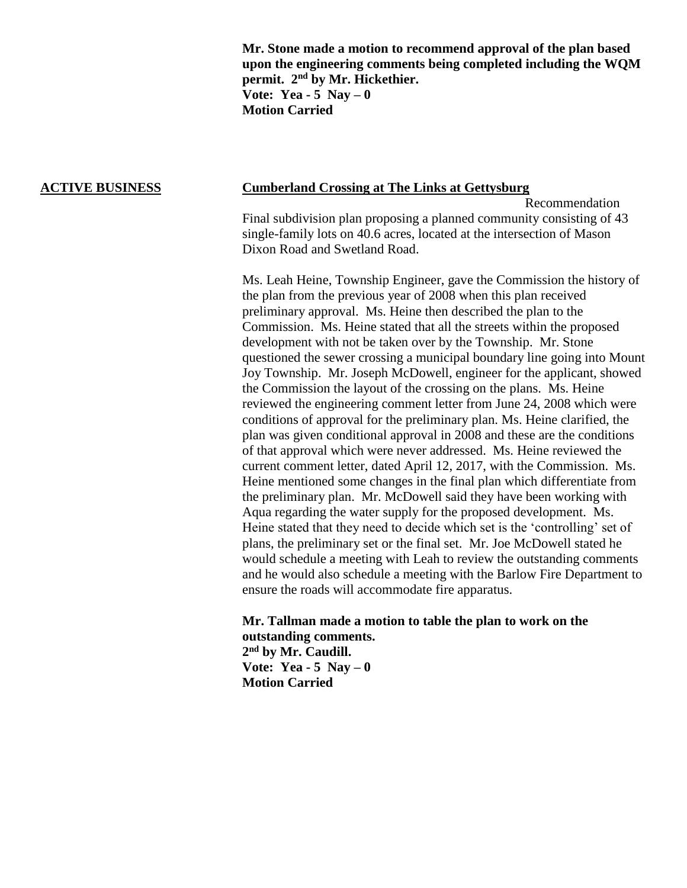**Mr. Stone made a motion to recommend approval of the plan based upon the engineering comments being completed including the WQM permit. 2nd by Mr. Hickethier. Vote: Yea - 5 Nay – 0 Motion Carried**

## **ACTIVE BUSINESS Cumberland Crossing at The Links at Gettysburg**

Recommendation Final subdivision plan proposing a planned community consisting of 43 single-family lots on 40.6 acres, located at the intersection of Mason Dixon Road and Swetland Road.

Ms. Leah Heine, Township Engineer, gave the Commission the history of the plan from the previous year of 2008 when this plan received preliminary approval. Ms. Heine then described the plan to the Commission. Ms. Heine stated that all the streets within the proposed development with not be taken over by the Township. Mr. Stone questioned the sewer crossing a municipal boundary line going into Mount Joy Township. Mr. Joseph McDowell, engineer for the applicant, showed the Commission the layout of the crossing on the plans. Ms. Heine reviewed the engineering comment letter from June 24, 2008 which were conditions of approval for the preliminary plan. Ms. Heine clarified, the plan was given conditional approval in 2008 and these are the conditions of that approval which were never addressed. Ms. Heine reviewed the current comment letter, dated April 12, 2017, with the Commission. Ms. Heine mentioned some changes in the final plan which differentiate from the preliminary plan. Mr. McDowell said they have been working with Aqua regarding the water supply for the proposed development. Ms. Heine stated that they need to decide which set is the 'controlling' set of plans, the preliminary set or the final set. Mr. Joe McDowell stated he would schedule a meeting with Leah to review the outstanding comments and he would also schedule a meeting with the Barlow Fire Department to ensure the roads will accommodate fire apparatus.

**Mr. Tallman made a motion to table the plan to work on the outstanding comments. 2 nd by Mr. Caudill. Vote: Yea - 5 Nay – 0 Motion Carried**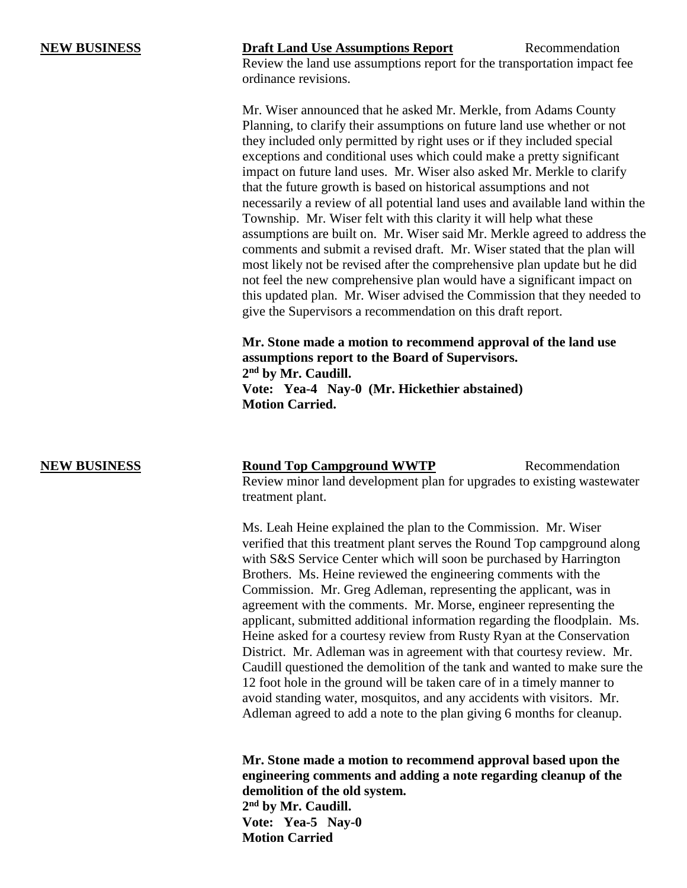### **NEW BUSINESS Draft Land Use Assumptions Report** Recommendation

Review the land use assumptions report for the transportation impact fee ordinance revisions.

Mr. Wiser announced that he asked Mr. Merkle, from Adams County Planning, to clarify their assumptions on future land use whether or not they included only permitted by right uses or if they included special exceptions and conditional uses which could make a pretty significant impact on future land uses. Mr. Wiser also asked Mr. Merkle to clarify that the future growth is based on historical assumptions and not necessarily a review of all potential land uses and available land within the Township. Mr. Wiser felt with this clarity it will help what these assumptions are built on. Mr. Wiser said Mr. Merkle agreed to address the comments and submit a revised draft. Mr. Wiser stated that the plan will most likely not be revised after the comprehensive plan update but he did not feel the new comprehensive plan would have a significant impact on this updated plan. Mr. Wiser advised the Commission that they needed to give the Supervisors a recommendation on this draft report.

**Mr. Stone made a motion to recommend approval of the land use assumptions report to the Board of Supervisors. 2 nd by Mr. Caudill. Vote: Yea-4 Nay-0 (Mr. Hickethier abstained) Motion Carried.**

**NEW BUSINESS Round Top Campground WWTP** Recommendation Review minor land development plan for upgrades to existing wastewater treatment plant.

> Ms. Leah Heine explained the plan to the Commission. Mr. Wiser verified that this treatment plant serves the Round Top campground along with S&S Service Center which will soon be purchased by Harrington Brothers. Ms. Heine reviewed the engineering comments with the Commission. Mr. Greg Adleman, representing the applicant, was in agreement with the comments. Mr. Morse, engineer representing the applicant, submitted additional information regarding the floodplain. Ms. Heine asked for a courtesy review from Rusty Ryan at the Conservation District. Mr. Adleman was in agreement with that courtesy review. Mr. Caudill questioned the demolition of the tank and wanted to make sure the 12 foot hole in the ground will be taken care of in a timely manner to avoid standing water, mosquitos, and any accidents with visitors. Mr. Adleman agreed to add a note to the plan giving 6 months for cleanup.

**Mr. Stone made a motion to recommend approval based upon the engineering comments and adding a note regarding cleanup of the demolition of the old system. 2 nd by Mr. Caudill. Vote: Yea-5 Nay-0 Motion Carried**